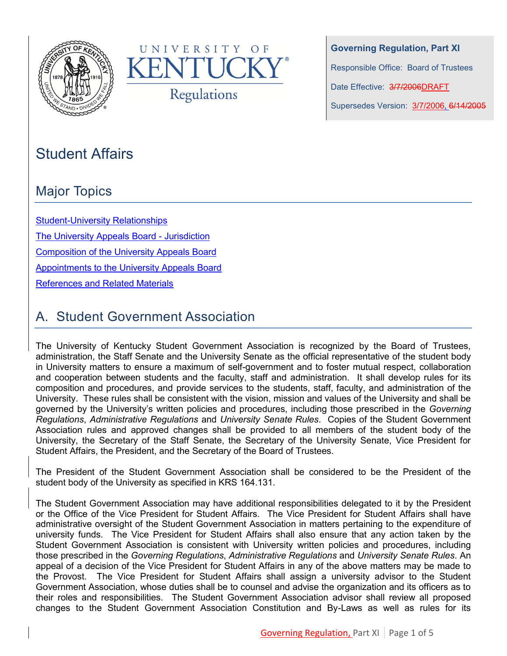



**Governing Regulation, Part XI** Responsible Office: Board of Trustees Date Effective: 3/7/2006DRAFT Supersedes Version: 3/7/2006, 6/14/2005

# Student Affairs

# Major Topics

[Student-University Relationships](#page-1-0) [The University Appeals Board -](#page-1-1) Jurisdiction [Composition of the University Appeals Board](#page-2-0) 

[Appointments to the University Appeals Board](#page-2-1)

[References and Related Materials](#page-4-0)

# A. Student Government Association

The University of Kentucky Student Government Association is recognized by the Board of Trustees, administration, the Staff Senate and the University Senate as the official representative of the student body in University matters to ensure a maximum of self-government and to foster mutual respect, collaboration and cooperation between students and the faculty, staff and administration. It shall develop rules for its composition and procedures, and provide services to the students, staff, faculty, and administration of the University. These rules shall be consistent with the vision, mission and values of the University and shall be governed by the University's written policies and procedures, including those prescribed in the *Governing Regulations*, *Administrative Regulations* and *University Senate Rules*. Copies of the Student Government Association rules and approved changes shall be provided to all members of the student body of the University, the Secretary of the Staff Senate, the Secretary of the University Senate, Vice President for Student Affairs, the President, and the Secretary of the Board of Trustees.

The President of the Student Government Association shall be considered to be the President of the student body of the University as specified in KRS 164.131.

The Student Government Association may have additional responsibilities delegated to it by the President or the Office of the Vice President for Student Affairs. The Vice President for Student Affairs shall have administrative oversight of the Student Government Association in matters pertaining to the expenditure of university funds. The Vice President for Student Affairs shall also ensure that any action taken by the Student Government Association is consistent with University written policies and procedures, including those prescribed in the *Governing Regulations*, *Administrative Regulations* and *University Senate Rules*. An appeal of a decision of the Vice President for Student Affairs in any of the above matters may be made to the Provost. The Vice President for Student Affairs shall assign a university advisor to the Student Government Association, whose duties shall be to counsel and advise the organization and its officers as to their roles and responsibilities. The Student Government Association advisor shall review all proposed changes to the Student Government Association Constitution and By-Laws as well as rules for its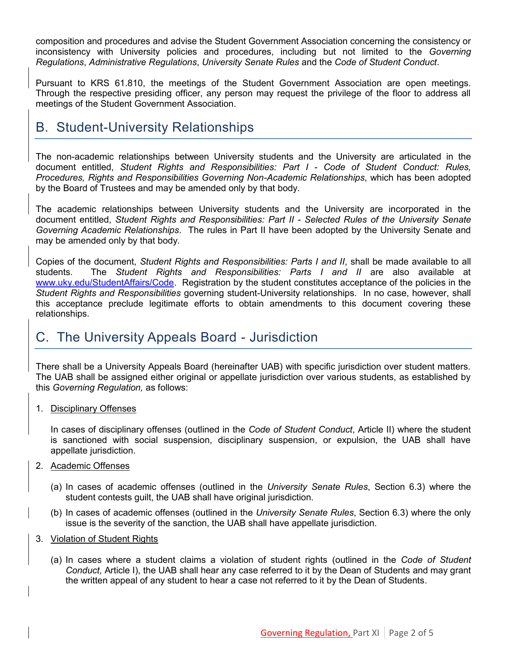composition and procedures and advise the Student Government Association concerning the consistency or inconsistency with University policies and procedures, including but not limited to the *Governing Regulations*, *Administrative Regulations*, *University Senate Rules* and the *Code of Student Conduct*.

Pursuant to KRS 61.810, the meetings of the Student Government Association are open meetings. Through the respective presiding officer, any person may request the privilege of the floor to address all meetings of the Student Government Association.

## <span id="page-1-0"></span>B. Student-University Relationships

The non-academic relationships between University students and the University are articulated in the document entitled, *Student Rights and Responsibilities: Part I - Code of Student Conduct: Rules, Procedures, Rights and Responsibilities Governing Non-Academic Relationships*, which has been adopted by the Board of Trustees and may be amended only by that body.

The academic relationships between University students and the University are incorporated in the document entitled, *Student Rights and Responsibilities: Part II - Selected Rules of the University Senate Governing Academic Relationships*. The rules in Part II have been adopted by the University Senate and may be amended only by that body.

Copies of the document, *Student Rights and Responsibilities: Parts I and II*, shall be made available to all students. The *Student Rights and Responsibilities: Parts I and II* are also available at [www.uky.edu/StudentAffairs/Code.](http://www.uky.edu/StudentAffairs/Code/) Registration by the student constitutes acceptance of the policies in the *Student Rights and Responsibilities* governing student-University relationships. In no case, however, shall this acceptance preclude legitimate efforts to obtain amendments to this document covering these relationships.

### <span id="page-1-1"></span>C. The University Appeals Board - Jurisdiction

There shall be a University Appeals Board (hereinafter UAB) with specific jurisdiction over student matters. The UAB shall be assigned either original or appellate jurisdiction over various students, as established by this *Governing Regulation,* as follows:

1. Disciplinary Offenses

In cases of disciplinary offenses (outlined in the *Code of Student Conduct*, Article II) where the student is sanctioned with social suspension, disciplinary suspension, or expulsion, the UAB shall have appellate jurisdiction.

- 2. Academic Offenses
	- (a) In cases of academic offenses (outlined in the *University Senate Rules*, Section 6.3) where the student contests guilt, the UAB shall have original jurisdiction.
	- (b) In cases of academic offenses (outlined in the *University Senate Rules*, Section 6.3) where the only issue is the severity of the sanction, the UAB shall have appellate jurisdiction.
- 3. Violation of Student Rights
	- (a) In cases where a student claims a violation of student rights (outlined in the *Code of Student Conduct,* Article I), the UAB shall hear any case referred to it by the Dean of Students and may grant the written appeal of any student to hear a case not referred to it by the Dean of Students.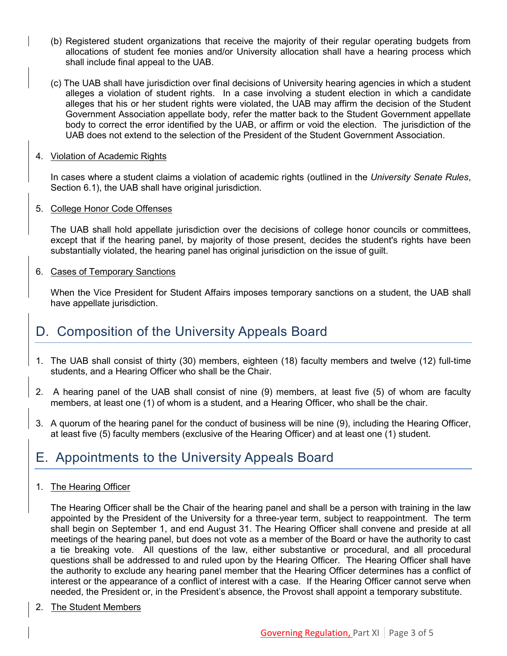- (b) Registered student organizations that receive the majority of their regular operating budgets from allocations of student fee monies and/or University allocation shall have a hearing process which shall include final appeal to the UAB.
- (c) The UAB shall have jurisdiction over final decisions of University hearing agencies in which a student alleges a violation of student rights. In a case involving a student election in which a candidate alleges that his or her student rights were violated, the UAB may affirm the decision of the Student Government Association appellate body, refer the matter back to the Student Government appellate body to correct the error identified by the UAB, or affirm or void the election. The jurisdiction of the UAB does not extend to the selection of the President of the Student Government Association.
- 4. Violation of Academic Rights

In cases where a student claims a violation of academic rights (outlined in the *University Senate Rules*, Section 6.1), the UAB shall have original jurisdiction.

5. College Honor Code Offenses

The UAB shall hold appellate jurisdiction over the decisions of college honor councils or committees, except that if the hearing panel, by majority of those present, decides the student's rights have been substantially violated, the hearing panel has original jurisdiction on the issue of guilt.

6. Cases of Temporary Sanctions

When the Vice President for Student Affairs imposes temporary sanctions on a student, the UAB shall have appellate jurisdiction.

## <span id="page-2-0"></span>D. Composition of the University Appeals Board

- 1. The UAB shall consist of thirty (30) members, eighteen (18) faculty members and twelve (12) full-time students, and a Hearing Officer who shall be the Chair.
- 2. A hearing panel of the UAB shall consist of nine (9) members, at least five (5) of whom are faculty members, at least one (1) of whom is a student, and a Hearing Officer, who shall be the chair.
- 3. A quorum of the hearing panel for the conduct of business will be nine (9), including the Hearing Officer, at least five (5) faculty members (exclusive of the Hearing Officer) and at least one (1) student.

## <span id="page-2-1"></span>E. Appointments to the University Appeals Board

1. The Hearing Officer

The Hearing Officer shall be the Chair of the hearing panel and shall be a person with training in the law appointed by the President of the University for a three-year term, subject to reappointment. The term shall begin on September 1, and end August 31. The Hearing Officer shall convene and preside at all meetings of the hearing panel, but does not vote as a member of the Board or have the authority to cast a tie breaking vote. All questions of the law, either substantive or procedural, and all procedural questions shall be addressed to and ruled upon by the Hearing Officer. The Hearing Officer shall have the authority to exclude any hearing panel member that the Hearing Officer determines has a conflict of interest or the appearance of a conflict of interest with a case. If the Hearing Officer cannot serve when needed, the President or, in the President's absence, the Provost shall appoint a temporary substitute.

2. The Student Members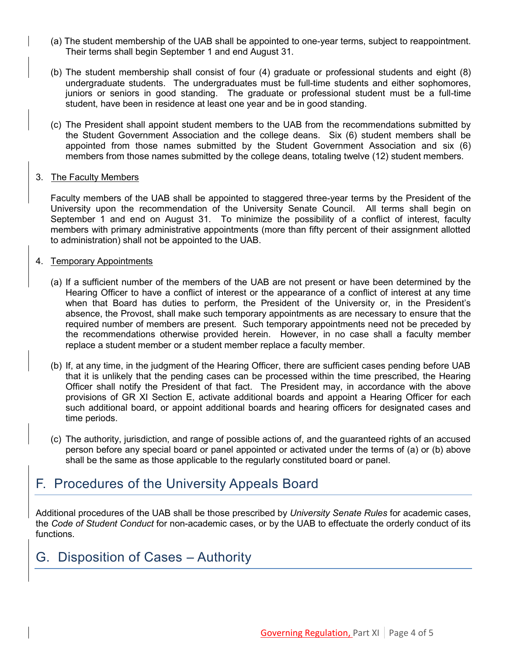- (a) The student membership of the UAB shall be appointed to one-year terms, subject to reappointment. Their terms shall begin September 1 and end August 31.
- (b) The student membership shall consist of four (4) graduate or professional students and eight (8) undergraduate students. The undergraduates must be full-time students and either sophomores, juniors or seniors in good standing. The graduate or professional student must be a full-time student, have been in residence at least one year and be in good standing.
- (c) The President shall appoint student members to the UAB from the recommendations submitted by the Student Government Association and the college deans. Six (6) student members shall be appointed from those names submitted by the Student Government Association and six (6) members from those names submitted by the college deans, totaling twelve (12) student members.

#### 3. The Faculty Members

Faculty members of the UAB shall be appointed to staggered three-year terms by the President of the University upon the recommendation of the University Senate Council. All terms shall begin on September 1 and end on August 31. To minimize the possibility of a conflict of interest, faculty members with primary administrative appointments (more than fifty percent of their assignment allotted to administration) shall not be appointed to the UAB.

#### 4. Temporary Appointments

- (a) If a sufficient number of the members of the UAB are not present or have been determined by the Hearing Officer to have a conflict of interest or the appearance of a conflict of interest at any time when that Board has duties to perform, the President of the University or, in the President's absence, the Provost, shall make such temporary appointments as are necessary to ensure that the required number of members are present. Such temporary appointments need not be preceded by the recommendations otherwise provided herein. However, in no case shall a faculty member replace a student member or a student member replace a faculty member.
- (b) If, at any time, in the judgment of the Hearing Officer, there are sufficient cases pending before UAB that it is unlikely that the pending cases can be processed within the time prescribed, the Hearing Officer shall notify the President of that fact. The President may, in accordance with the above provisions of GR XI Section E, activate additional boards and appoint a Hearing Officer for each such additional board, or appoint additional boards and hearing officers for designated cases and time periods.
- (c) The authority, jurisdiction, and range of possible actions of, and the guaranteed rights of an accused person before any special board or panel appointed or activated under the terms of (a) or (b) above shall be the same as those applicable to the regularly constituted board or panel.

### F. Procedures of the University Appeals Board

Additional procedures of the UAB shall be those prescribed by *University Senate Rules* for academic cases, the *Code of Student Conduct* for non-academic cases, or by the UAB to effectuate the orderly conduct of its functions.

### G. Disposition of Cases – Authority